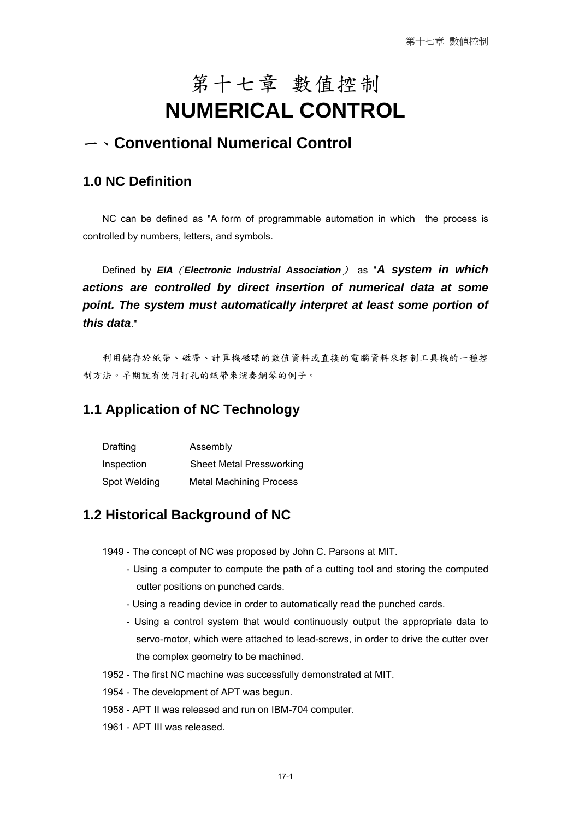# 第十七章 數值控制 **NUMERICAL CONTROL**

# 一、**Conventional Numerical Control**

# **1.0 NC Definition**

NC can be defined as "A form of programmable automation in which the process is controlled by numbers, letters, and symbols.

Defined by *EIA*(*Electronic Industrial Association*) as "*A system in which actions are controlled by direct insertion of numerical data at some point. The system must automatically interpret at least some portion of this data*."

利用儲存於紙帶、磁帶、計算機磁碟的數值資料或直接的電腦資料來控制工具機的一種控 制方法。早期就有使用打孔的紙帶來演奏鋼琴的例子。

# **1.1 Application of NC Technology**

| Drafting     | Assembly                        |
|--------------|---------------------------------|
| Inspection   | <b>Sheet Metal Pressworking</b> |
| Spot Welding | <b>Metal Machining Process</b>  |

### **1.2 Historical Background of NC**

1949 - The concept of NC was proposed by John C. Parsons at MIT.

- Using a computer to compute the path of a cutting tool and storing the computed cutter positions on punched cards.
- Using a reading device in order to automatically read the punched cards.
- Using a control system that would continuously output the appropriate data to servo-motor, which were attached to lead-screws, in order to drive the cutter over the complex geometry to be machined.
- 1952 The first NC machine was successfully demonstrated at MIT.
- 1954 The development of APT was begun.
- 1958 APT II was released and run on IBM-704 computer.
- 1961 APT III was released.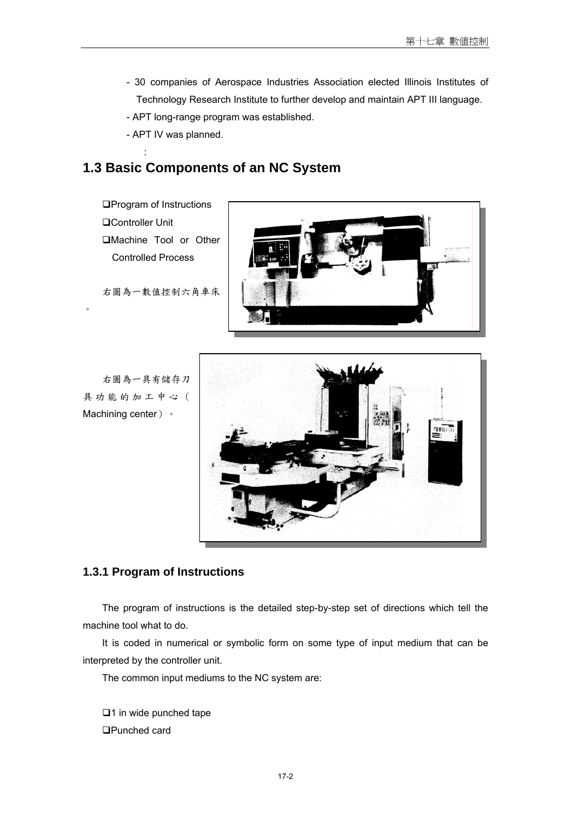- 30 companies of Aerospace Industries Association elected Illinois Institutes of Technology Research Institute to further develop and maintain APT III language.
- APT long-range program was established.
- APT IV was planned.

# **1.3 Basic Components of an NC System**

**QProgram of Instructions** Controller Unit Machine Tool or Other Controlled Process

**Service State** 

 $\circ$ 

右圖為一數值控制六角車床



右圖為一具有儲存刀 具功能的加工中心( Machining center) 。



#### **1.3.1 Program of Instructions**

The program of instructions is the detailed step-by-step set of directions which tell the machine tool what to do.

It is coded in numerical or symbolic form on some type of input medium that can be interpreted by the controller unit.

The common input mediums to the NC system are:

 $\Box$ 1 in wide punched tape Punched card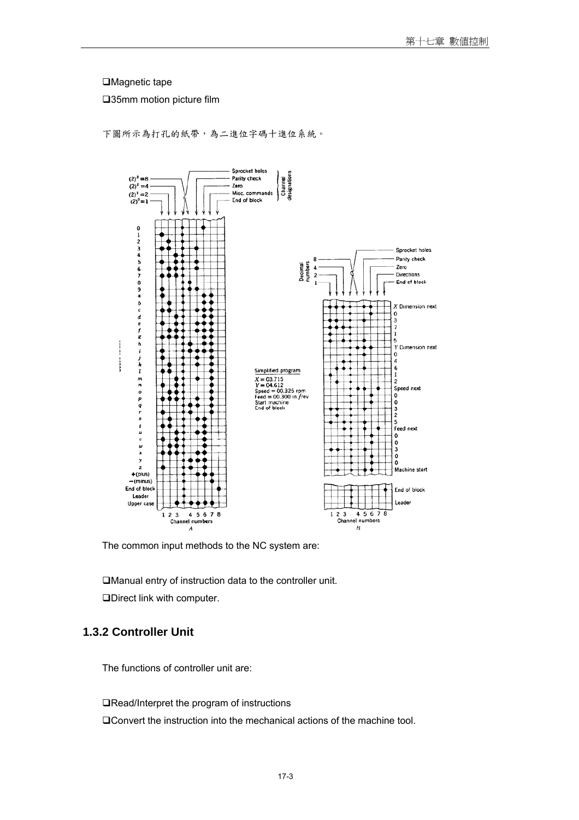#### □Magnetic tape

35mm motion picture film



下圖所示為打孔的紙帶,為二進位字碼十進位系統。

The common input methods to the NC system are:

Manual entry of instruction data to the controller unit.

Direct link with computer.

### **1.3.2 Controller Unit**

The functions of controller unit are:

■Read/Interpret the program of instructions

Convert the instruction into the mechanical actions of the machine tool.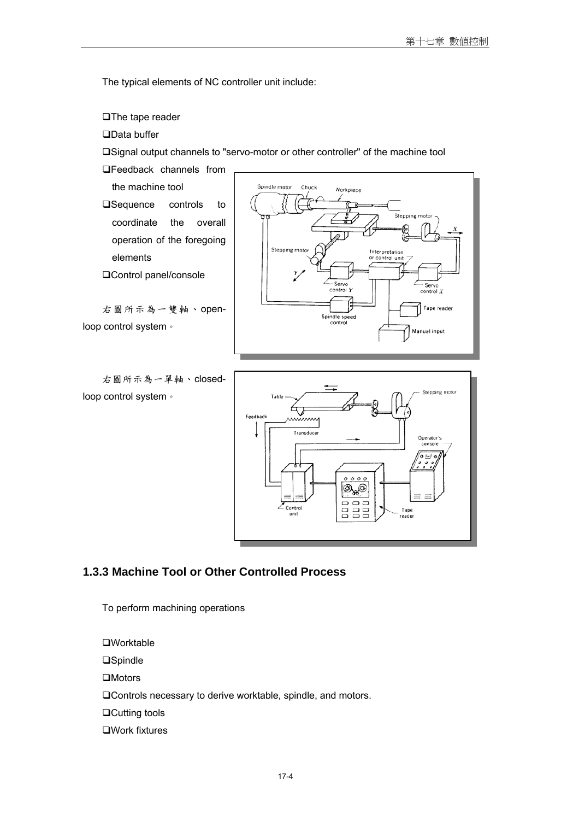The typical elements of NC controller unit include:

**□The tape reader** 

□Data buffer

Signal output channels to "servo-motor or other controller" of the machine tool

**OFeedback channels from** 

the machine tool □Sequence controls to coordinate the overall operation of the foregoing elements

Control panel/console

右圖所示為一雙軸、openloop control system。

右圖所示為一單軸、closedloop control system。





### **1.3.3 Machine Tool or Other Controlled Process**

To perform machining operations

**□Worktable □Spindle**  $\Box$ Motors Controls necessary to derive worktable, spindle, and motors. □Cutting tools Work fixtures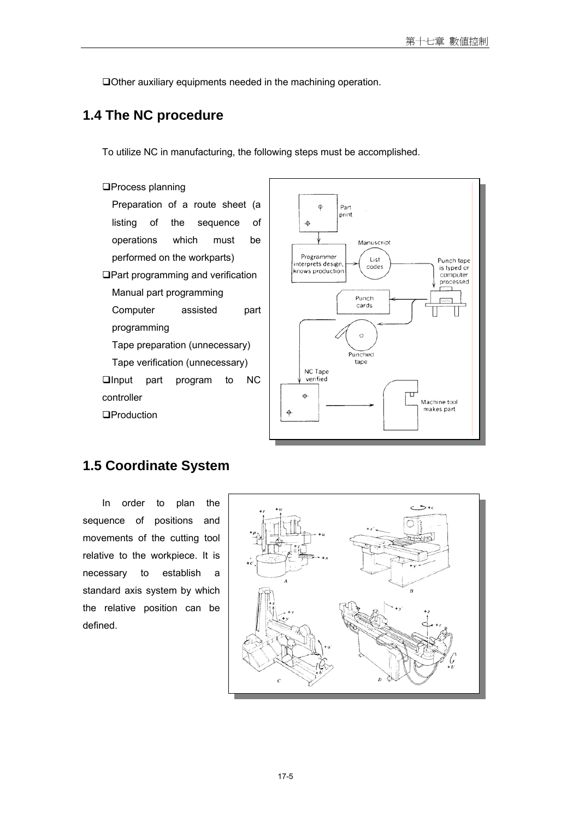Other auxiliary equipments needed in the machining operation.

# **1.4 The NC procedure**

To utilize NC in manufacturing, the following steps must be accomplished.

# **OProcess planning** Preparation of a route sheet (a listing of the sequence of operations which must be performed on the workparts) Part programming and verification Manual part programming Computer assisted part programming Tape preparation (unnecessary) Tape verification (unnecessary) **Qlnput** part program to NC controller **OProduction**



# **1.5 Coordinate System**

In order to plan the sequence of positions and movements of the cutting tool relative to the workpiece. It is necessary to establish a standard axis system by which the relative position can be defined.

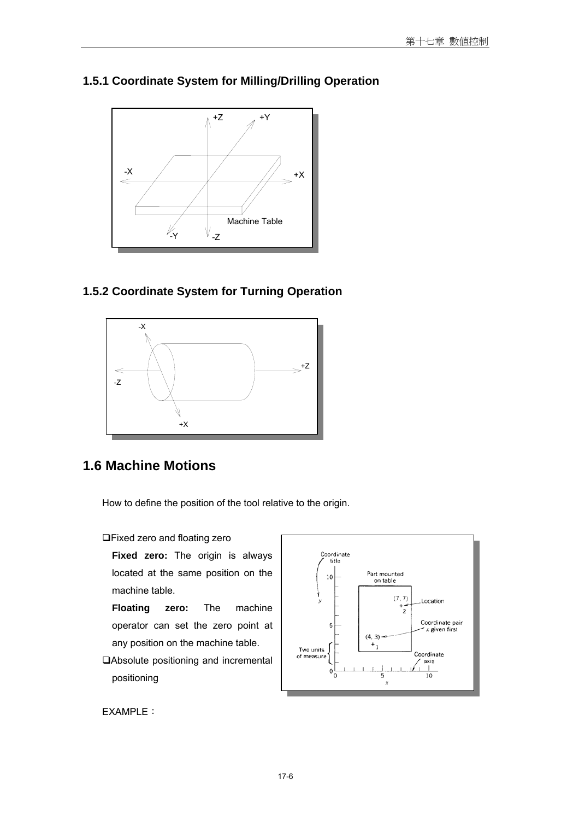

# **1.5.1 Coordinate System for Milling/Drilling Operation**

### **1.5.2 Coordinate System for Turning Operation**



# **1.6 Machine Motions**

How to define the position of the tool relative to the origin.

Fixed zero and floating zero

**Fixed zero:** The origin is always located at the same position on the machine table.

**Floating zero:** The machine operator can set the zero point at any position on the machine table.

Absolute positioning and incremental positioning



EXAMPLE: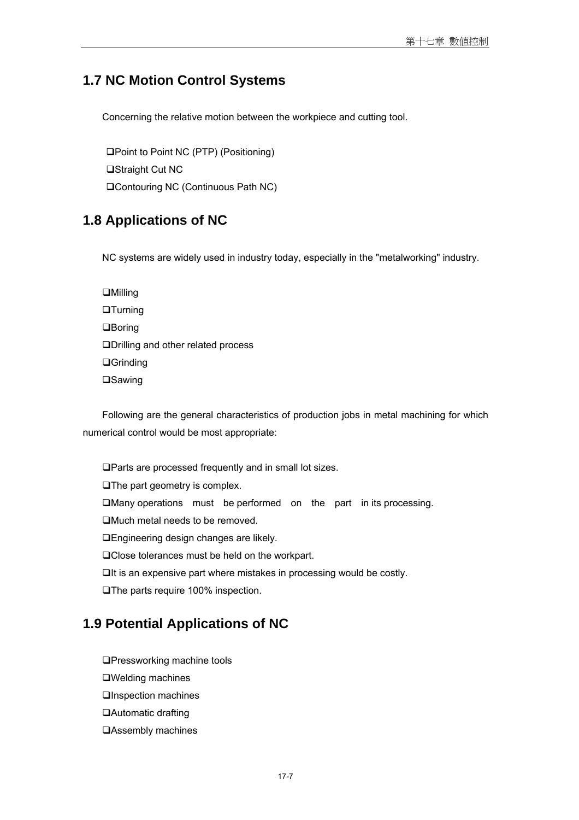### **1.7 NC Motion Control Systems**

Concerning the relative motion between the workpiece and cutting tool.

Point to Point NC (PTP) (Positioning) □Straight Cut NC Contouring NC (Continuous Path NC)

# **1.8 Applications of NC**

NC systems are widely used in industry today, especially in the "metalworking" industry.

**OMilling QTurning Q**Boring Drilling and other related process **□Grinding OSawing** 

Following are the general characteristics of production jobs in metal machining for which numerical control would be most appropriate:

Parts are processed frequently and in small lot sizes. **The part geometry is complex.** Many operations must be performed on the part in its processing. Much metal needs to be removed. Engineering design changes are likely. □Close tolerances must be held on the workpart.  $\Box$ It is an expensive part where mistakes in processing would be costly. **□The parts require 100% inspection.** 

# **1.9 Potential Applications of NC**

- **QPressworking machine tools**
- Welding machines
- **QInspection machines**
- Automatic drafting
- **QAssembly machines**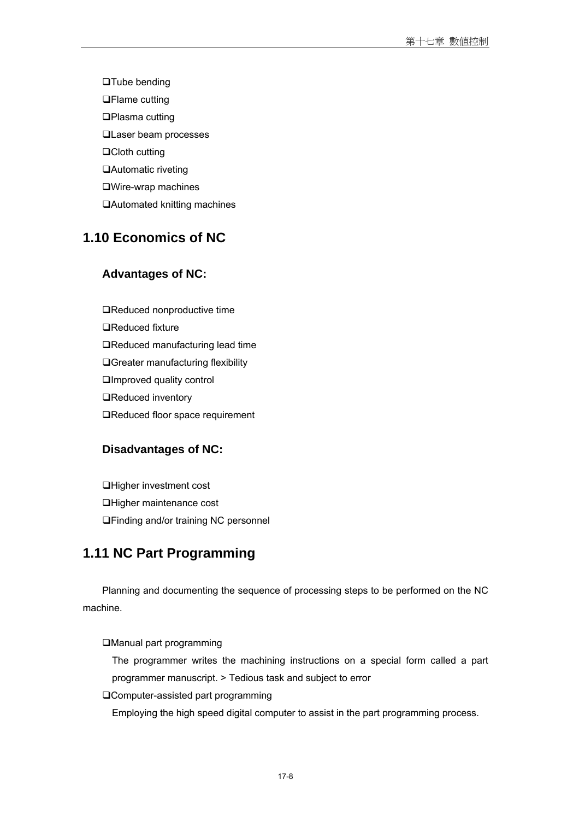□Tube bending **□Flame cutting** □Plasma cutting **QLaser beam processes** □Cloth cutting Automatic riveting Wire-wrap machines Automated knitting machines

# **1.10 Economics of NC**

#### **Advantages of NC:**

■Reduced nonproductive time □Reduced fixture ■Reduced manufacturing lead time **QGreater manufacturing flexibility QImproved quality control QReduced inventory** ■Reduced floor space requirement

#### **Disadvantages of NC:**

Higher investment cost Higher maintenance cost Finding and/or training NC personnel

# **1.11 NC Part Programming**

Planning and documenting the sequence of processing steps to be performed on the NC machine.

Manual part programming

The programmer writes the machining instructions on a special form called a part programmer manuscript. > Tedious task and subject to error

Computer-assisted part programming

Employing the high speed digital computer to assist in the part programming process.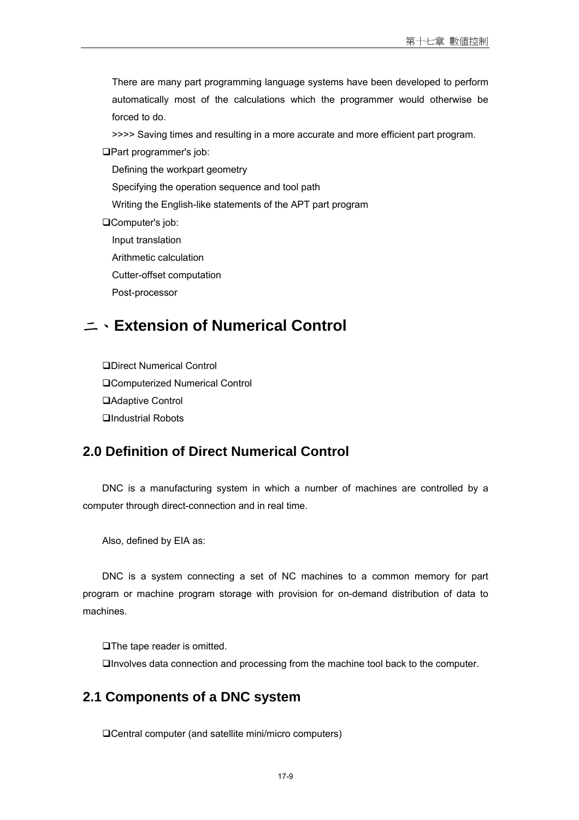There are many part programming language systems have been developed to perform automatically most of the calculations which the programmer would otherwise be forced to do.

>>>> Saving times and resulting in a more accurate and more efficient part program.

Part programmer's job:

Defining the workpart geometry

Specifying the operation sequence and tool path

Writing the English-like statements of the APT part program

Computer's job:

Input translation

Arithmetic calculation

Cutter-offset computation

Post-processor

# 二、**Extension of Numerical Control**

Direct Numerical Control Computerized Numerical Control Adaptive Control □Industrial Robots

### **2.0 Definition of Direct Numerical Control**

DNC is a manufacturing system in which a number of machines are controlled by a computer through direct-connection and in real time.

Also, defined by EIA as:

DNC is a system connecting a set of NC machines to a common memory for part program or machine program storage with provision for on-demand distribution of data to machines.

□The tape reader is omitted. Involves data connection and processing from the machine tool back to the computer.

### **2.1 Components of a DNC system**

Central computer (and satellite mini/micro computers)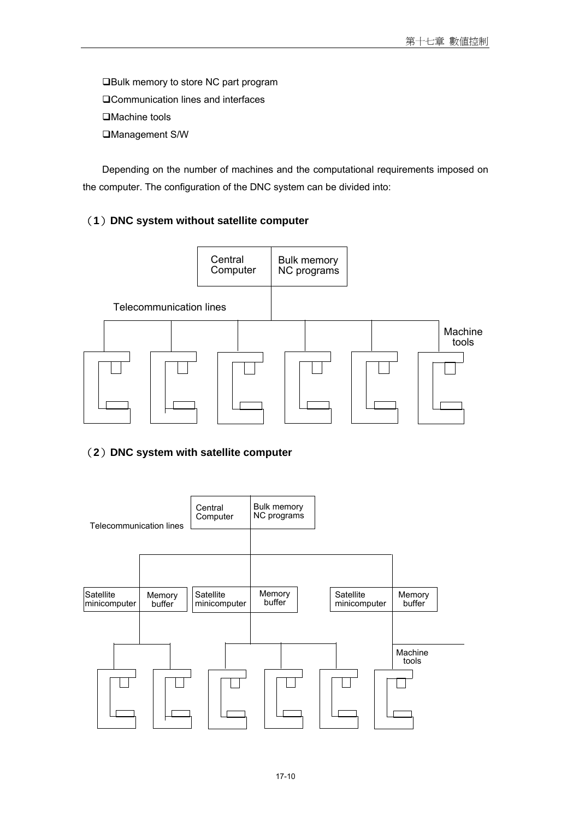**□Bulk memory to store NC part program** Communication lines and interfaces □Machine tools Management S/W

Depending on the number of machines and the computational requirements imposed on the computer. The configuration of the DNC system can be divided into:

### (**1**)**DNC system without satellite computer**



### (**2**)**DNC system with satellite computer**

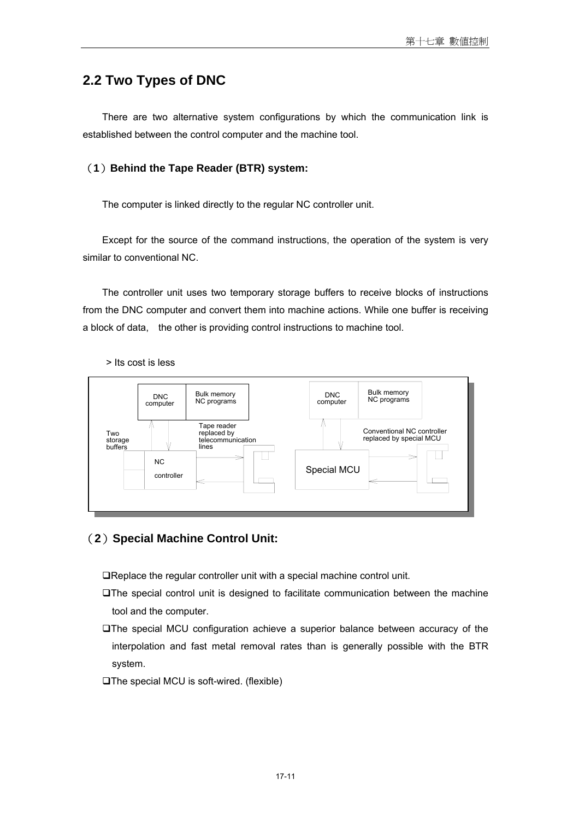# **2.2 Two Types of DNC**

There are two alternative system configurations by which the communication link is established between the control computer and the machine tool.

#### (**1**)**Behind the Tape Reader (BTR) system:**

The computer is linked directly to the regular NC controller unit.

Except for the source of the command instructions, the operation of the system is very similar to conventional NC.

The controller unit uses two temporary storage buffers to receive blocks of instructions from the DNC computer and convert them into machine actions. While one buffer is receiving a block of data, the other is providing control instructions to machine tool.



#### > Its cost is less

#### (**2**)**Special Machine Control Unit:**

Replace the regular controller unit with a special machine control unit.

- The special control unit is designed to facilitate communication between the machine tool and the computer.
- The special MCU configuration achieve a superior balance between accuracy of the interpolation and fast metal removal rates than is generally possible with the BTR system.
- The special MCU is soft-wired. (flexible)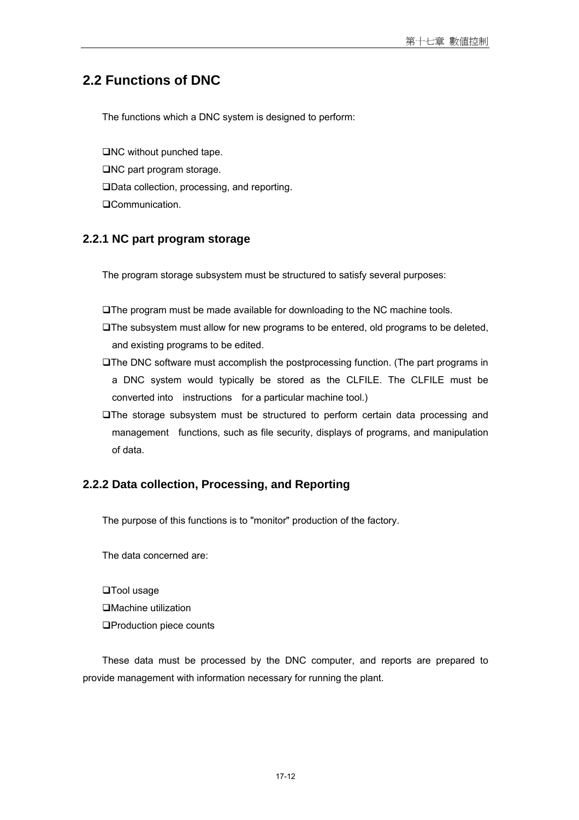# **2.2 Functions of DNC**

The functions which a DNC system is designed to perform:

 $\Box$ NC without punched tape. □NC part program storage. Data collection, processing, and reporting. **QCommunication.** 

### **2.2.1 NC part program storage**

The program storage subsystem must be structured to satisfy several purposes:

The program must be made available for downloading to the NC machine tools.

- The subsystem must allow for new programs to be entered, old programs to be deleted, and existing programs to be edited.
- The DNC software must accomplish the postprocessing function. (The part programs in a DNC system would typically be stored as the CLFILE. The CLFILE must be converted into instructions for a particular machine tool.)
- The storage subsystem must be structured to perform certain data processing and management functions, such as file security, displays of programs, and manipulation of data.

### **2.2.2 Data collection, Processing, and Reporting**

The purpose of this functions is to "monitor" production of the factory.

The data concerned are:

□Tool usage Machine utilization **OProduction piece counts** 

These data must be processed by the DNC computer, and reports are prepared to provide management with information necessary for running the plant.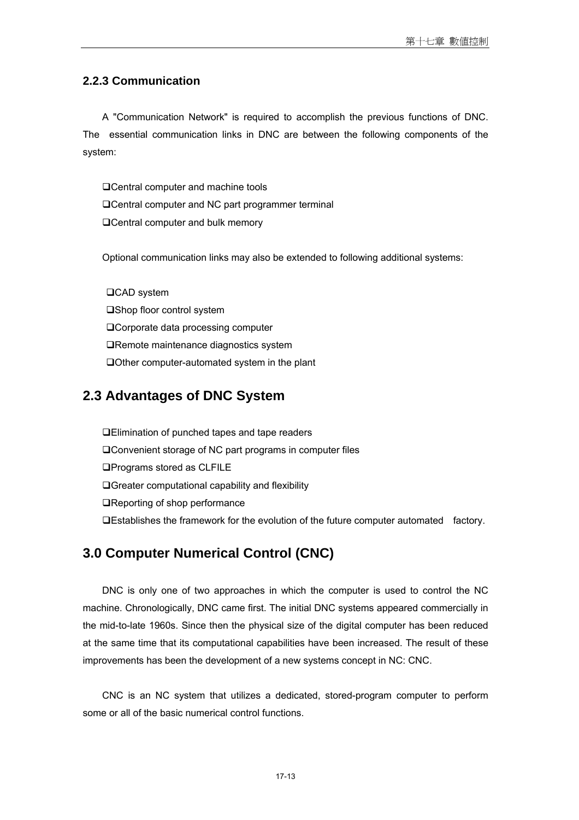### **2.2.3 Communication**

A "Communication Network" is required to accomplish the previous functions of DNC. The essential communication links in DNC are between the following components of the system:

□ Central computer and machine tools Central computer and NC part programmer terminal □ Central computer and bulk memory

Optional communication links may also be extended to following additional systems:

□CAD system □Shop floor control system □ Corporate data processing computer ■Remote maintenance diagnostics system □Other computer-automated system in the plant

# **2.3 Advantages of DNC System**

Elimination of punched tapes and tape readers Convenient storage of NC part programs in computer files □Programs stored as CLFILE Greater computational capability and flexibility ■Reporting of shop performance Establishes the framework for the evolution of the future computer automated factory.

# **3.0 Computer Numerical Control (CNC)**

DNC is only one of two approaches in which the computer is used to control the NC machine. Chronologically, DNC came first. The initial DNC systems appeared commercially in the mid-to-late 1960s. Since then the physical size of the digital computer has been reduced at the same time that its computational capabilities have been increased. The result of these improvements has been the development of a new systems concept in NC: CNC.

CNC is an NC system that utilizes a dedicated, stored-program computer to perform some or all of the basic numerical control functions.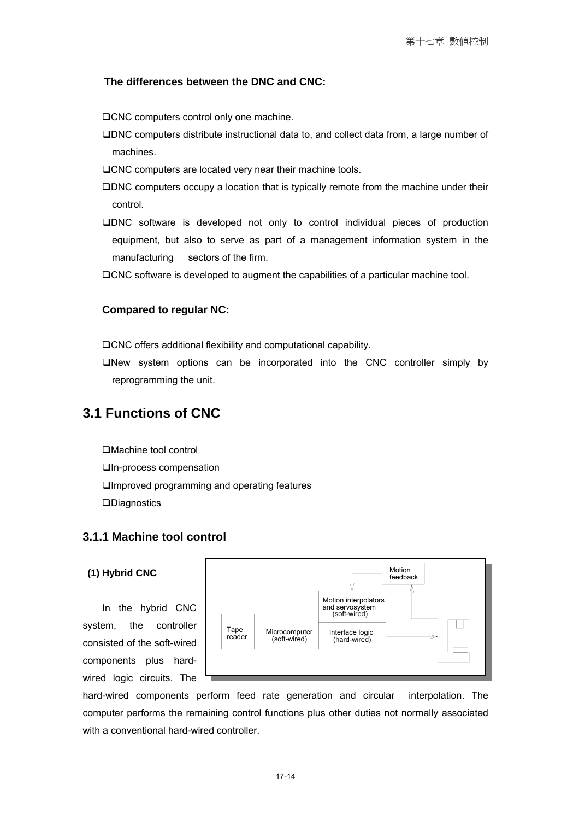#### **The differences between the DNC and CNC:**

□CNC computers control only one machine.

- DNC computers distribute instructional data to, and collect data from, a large number of machines.
- OCNC computers are located very near their machine tools.
- DNC computers occupy a location that is typically remote from the machine under their control.
- DNC software is developed not only to control individual pieces of production equipment, but also to serve as part of a management information system in the manufacturing sectors of the firm.
- CNC software is developed to augment the capabilities of a particular machine tool.

#### **Compared to regular NC:**

CNC offers additional flexibility and computational capability.

New system options can be incorporated into the CNC controller simply by reprogramming the unit.

# **3.1 Functions of CNC**

Machine tool control In-process compensation Improved programming and operating features **QDiagnostics** 

#### **3.1.1 Machine tool control**

#### **(1) Hybrid CNC**

In the hybrid CNC system, the controller consisted of the soft-wired components plus hardwired logic circuits. The



hard-wired components perform feed rate generation and circular interpolation. The computer performs the remaining control functions plus other duties not normally associated with a conventional hard-wired controller.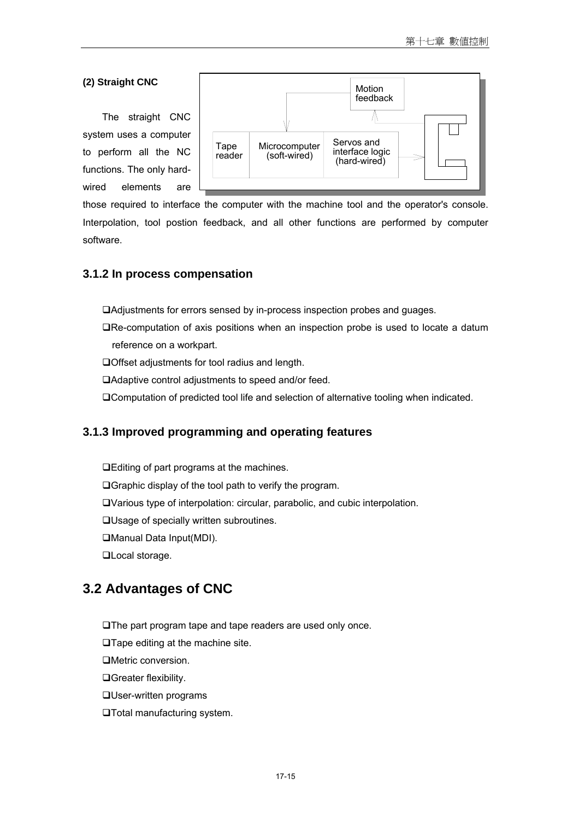#### **(2) Straight CNC**

The straight CNC system uses a computer to perform all the NC functions. The only hardwired elements are



those required to interface the computer with the machine tool and the operator's console. Interpolation, tool postion feedback, and all other functions are performed by computer software.

#### **3.1.2 In process compensation**

Adjustments for errors sensed by in-process inspection probes and guages.

- Re-computation of axis positions when an inspection probe is used to locate a datum reference on a workpart.
- Offset adjustments for tool radius and length.
- Adaptive control adjustments to speed and/or feed.
- Computation of predicted tool life and selection of alternative tooling when indicated.

### **3.1.3 Improved programming and operating features**

Editing of part programs at the machines. Graphic display of the tool path to verify the program. Various type of interpolation: circular, parabolic, and cubic interpolation. Usage of specially written subroutines. Manual Data Input(MDI). **QLocal storage.** 

# **3.2 Advantages of CNC**

The part program tape and tape readers are used only once.

□Tape editing at the machine site.

Metric conversion.

Greater flexibility.

User-written programs

Total manufacturing system.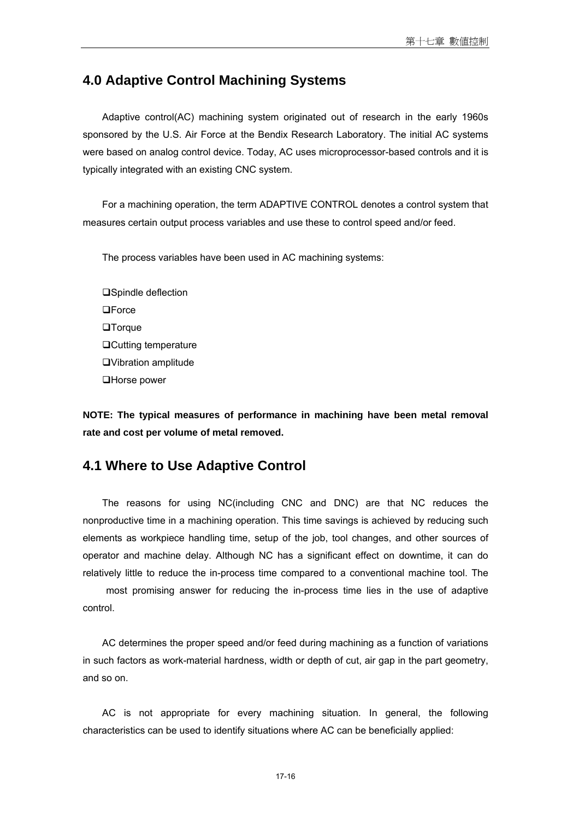### **4.0 Adaptive Control Machining Systems**

Adaptive control(AC) machining system originated out of research in the early 1960s sponsored by the U.S. Air Force at the Bendix Research Laboratory. The initial AC systems were based on analog control device. Today, AC uses microprocessor-based controls and it is typically integrated with an existing CNC system.

For a machining operation, the term ADAPTIVE CONTROL denotes a control system that measures certain output process variables and use these to control speed and/or feed.

The process variables have been used in AC machining systems:

□Spindle deflection □Force **QTorque** Cutting temperature Vibration amplitude **□Horse power** 

**NOTE: The typical measures of performance in machining have been metal removal rate and cost per volume of metal removed.** 

### **4.1 Where to Use Adaptive Control**

The reasons for using NC(including CNC and DNC) are that NC reduces the nonproductive time in a machining operation. This time savings is achieved by reducing such elements as workpiece handling time, setup of the job, tool changes, and other sources of operator and machine delay. Although NC has a significant effect on downtime, it can do relatively little to reduce the in-process time compared to a conventional machine tool. The

 most promising answer for reducing the in-process time lies in the use of adaptive control.

AC determines the proper speed and/or feed during machining as a function of variations in such factors as work-material hardness, width or depth of cut, air gap in the part geometry, and so on.

AC is not appropriate for every machining situation. In general, the following characteristics can be used to identify situations where AC can be beneficially applied: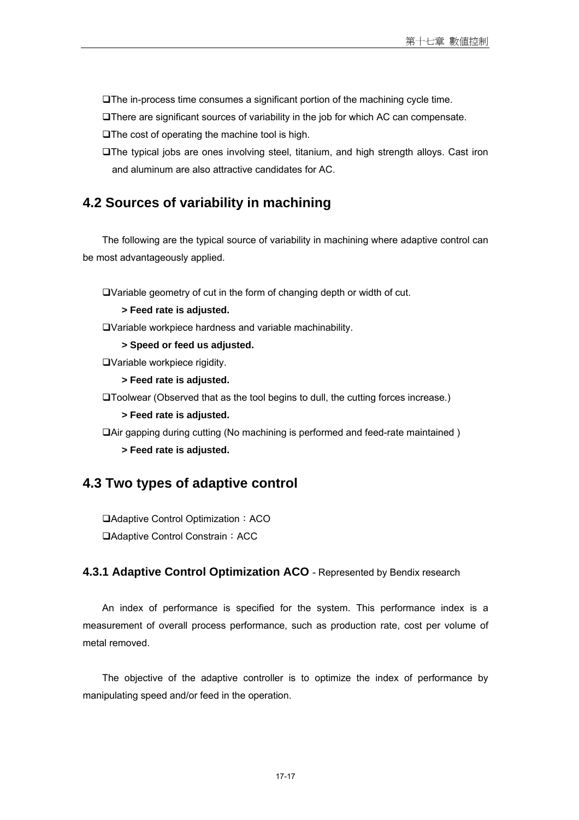The in-process time consumes a significant portion of the machining cycle time.

There are significant sources of variability in the job for which AC can compensate.

 $\Box$  The cost of operating the machine tool is high.

The typical jobs are ones involving steel, titanium, and high strength alloys. Cast iron and aluminum are also attractive candidates for AC.

### **4.2 Sources of variability in machining**

The following are the typical source of variability in machining where adaptive control can be most advantageously applied.

Variable geometry of cut in the form of changing depth or width of cut.

**> Feed rate is adjusted.** 

Variable workpiece hardness and variable machinability.

**> Speed or feed us adjusted.** 

Variable workpiece rigidity.

**> Feed rate is adjusted.** 

Toolwear (Observed that as the tool begins to dull, the cutting forces increase.)

**> Feed rate is adjusted.** 

Air gapping during cutting (No machining is performed and feed-rate maintained )

**> Feed rate is adjusted.** 

### **4.3 Two types of adaptive control**

□Adaptive Control Optimization: ACO □Adaptive Control Constrain: ACC

#### **4.3.1 Adaptive Control Optimization ACO** - Represented by Bendix research

An index of performance is specified for the system. This performance index is a measurement of overall process performance, such as production rate, cost per volume of metal removed.

The objective of the adaptive controller is to optimize the index of performance by manipulating speed and/or feed in the operation.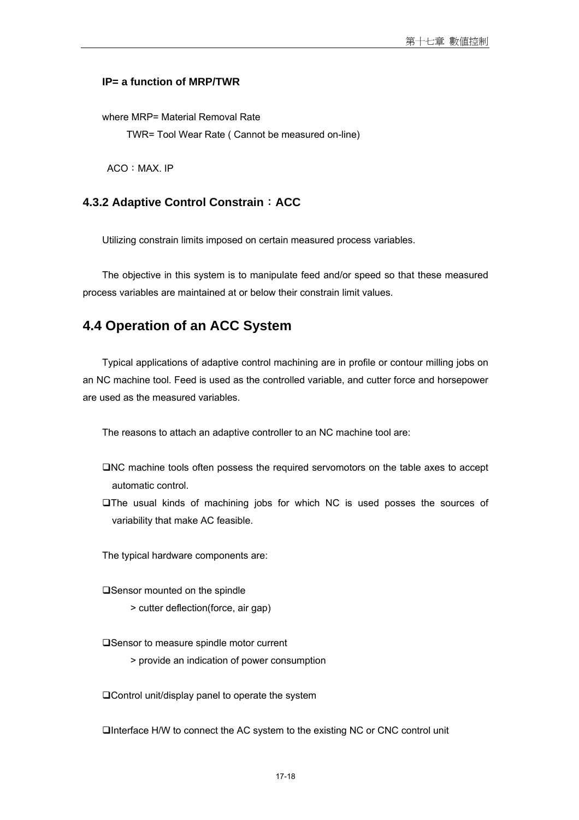#### **IP= a function of MRP/TWR**

where MRP= Material Removal Rate

TWR= Tool Wear Rate ( Cannot be measured on-line)

ACO: MAX. IP

#### **4.3.2 Adaptive Control Constrain**:**ACC**

Utilizing constrain limits imposed on certain measured process variables.

The objective in this system is to manipulate feed and/or speed so that these measured process variables are maintained at or below their constrain limit values.

### **4.4 Operation of an ACC System**

Typical applications of adaptive control machining are in profile or contour milling jobs on an NC machine tool. Feed is used as the controlled variable, and cutter force and horsepower are used as the measured variables.

The reasons to attach an adaptive controller to an NC machine tool are:

- NC machine tools often possess the required servomotors on the table axes to accept automatic control.
- The usual kinds of machining jobs for which NC is used posses the sources of variability that make AC feasible.

The typical hardware components are:

**□Sensor mounted on the spindle** 

> cutter deflection(force, air gap)

**□Sensor to measure spindle motor current** 

> provide an indication of power consumption

□ Control unit/display panel to operate the system

Interface H/W to connect the AC system to the existing NC or CNC control unit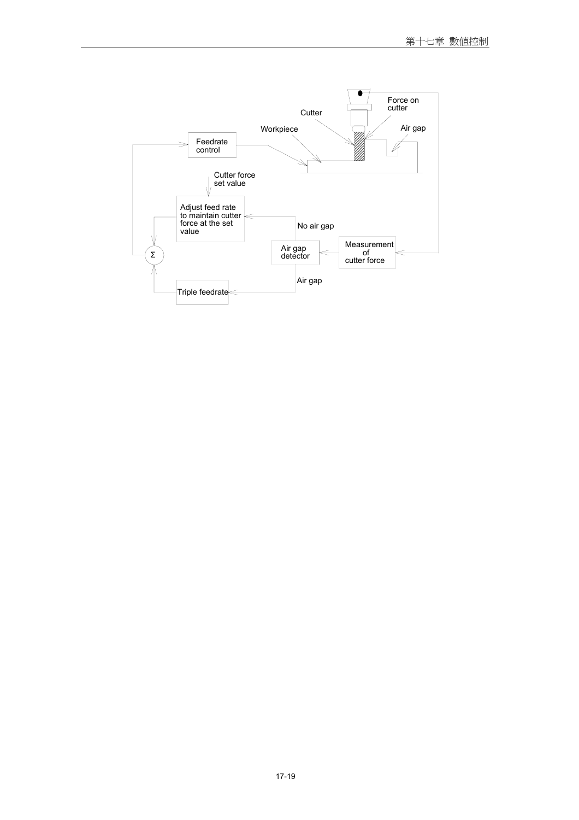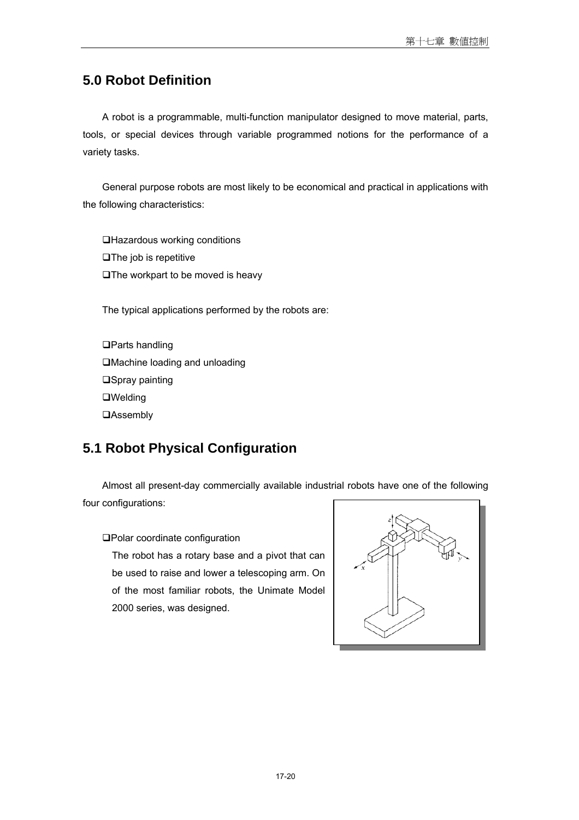# **5.0 Robot Definition**

A robot is a programmable, multi-function manipulator designed to move material, parts, tools, or special devices through variable programmed notions for the performance of a variety tasks.

General purpose robots are most likely to be economical and practical in applications with the following characteristics:

Hazardous working conditions  $\square$  The job is repetitive  $\Box$  The workpart to be moved is heavy

The typical applications performed by the robots are:

□Parts handling Machine loading and unloading  $\square$ Spray painting Welding **QAssembly** 

# **5.1 Robot Physical Configuration**

Almost all present-day commercially available industrial robots have one of the following four configurations:

Polar coordinate configuration

The robot has a rotary base and a pivot that can be used to raise and lower a telescoping arm. On of the most familiar robots, the Unimate Model 2000 series, was designed.

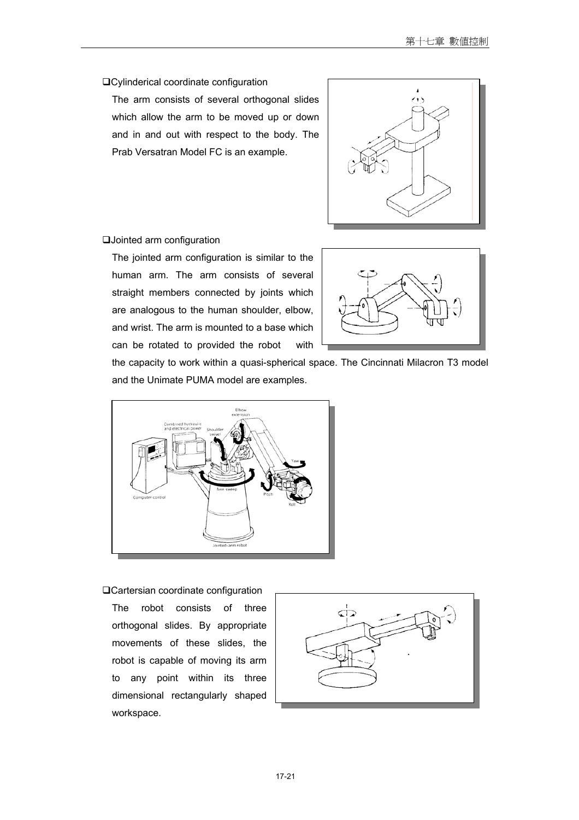#### Cylinderical coordinate configuration

The arm consists of several orthogonal slides which allow the arm to be moved up or down and in and out with respect to the body. The Prab Versatran Model FC is an example.



#### Jointed arm configuration

The jointed arm configuration is similar to the human arm. The arm consists of several straight members connected by joints which are analogous to the human shoulder, elbow, and wrist. The arm is mounted to a base which can be rotated to provided the robot with



the capacity to work within a quasi-spherical space. The Cincinnati Milacron T3 model and the Unimate PUMA model are examples.



#### Cartersian coordinate configuration

The robot consists of three orthogonal slides. By appropriate movements of these slides, the robot is capable of moving its arm to any point within its three dimensional rectangularly shaped workspace.

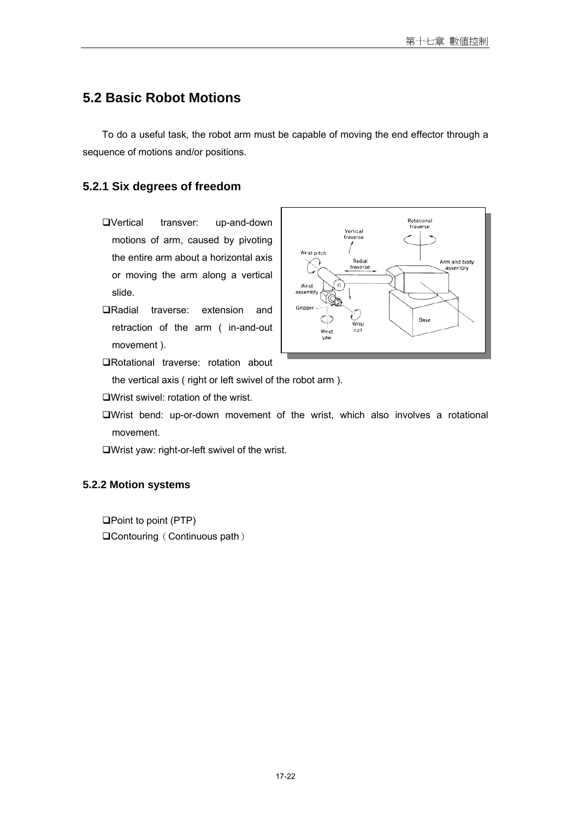# **5.2 Basic Robot Motions**

To do a useful task, the robot arm must be capable of moving the end effector through a sequence of motions and/or positions.

#### **5.2.1 Six degrees of freedom**

- Vertical transver: up-and-down motions of arm, caused by pivoting the entire arm about a horizontal axis or moving the arm along a vertical slide.
- Radial traverse: extension and retraction of the arm ( in-and-out movement ).
- Rotational traverse: rotation about

the vertical axis ( right or left swivel of the robot arm ).

- Wrist swivel: rotation of the wrist.
- Wrist bend: up-or-down movement of the wrist, which also involves a rotational movement.

Wrist yaw: right-or-left swivel of the wrist.

#### **5.2.2 Motion systems**

 $\square$  Point to point (PTP) **QContouring (Continuous path)** 

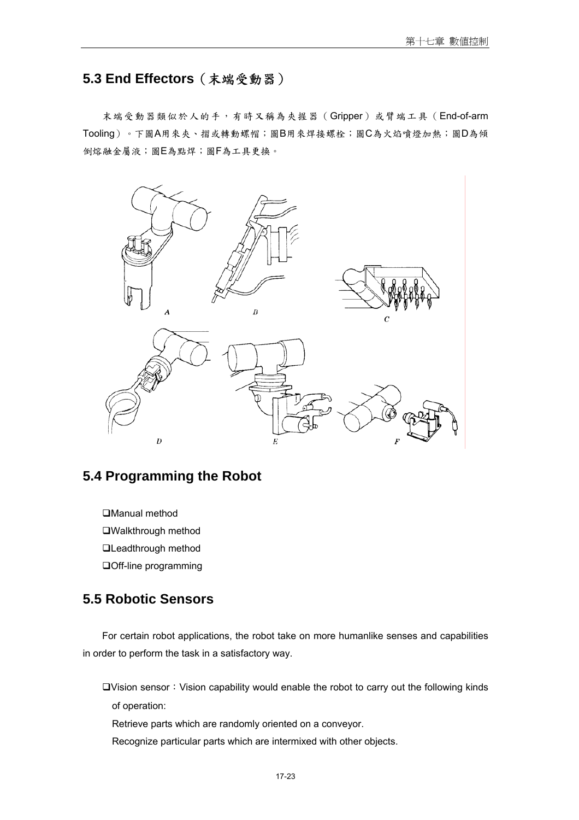# **5.3 End Effectors**(末端受動器)

末端受動器類似於人的手,有時又稱為夾握器(Gripper)或臂端工具(End-of-arm Tooling)。下圖A用來夾、摺或轉動螺帽;圖B用來焊接螺栓;圖C為火焰噴燈加熱;圖D為傾 倒熔融金屬液;圖E為點焊;圖F為工具更換。



# **5.4 Programming the Robot**

Manual method Walkthrough method **QLeadthrough method** Off-line programming

# **5.5 Robotic Sensors**

For certain robot applications, the robot take on more humanlike senses and capabilities in order to perform the task in a satisfactory way.

 $\Box$ Vision sensor: Vision capability would enable the robot to carry out the following kinds of operation:

Retrieve parts which are randomly oriented on a conveyor.

Recognize particular parts which are intermixed with other objects.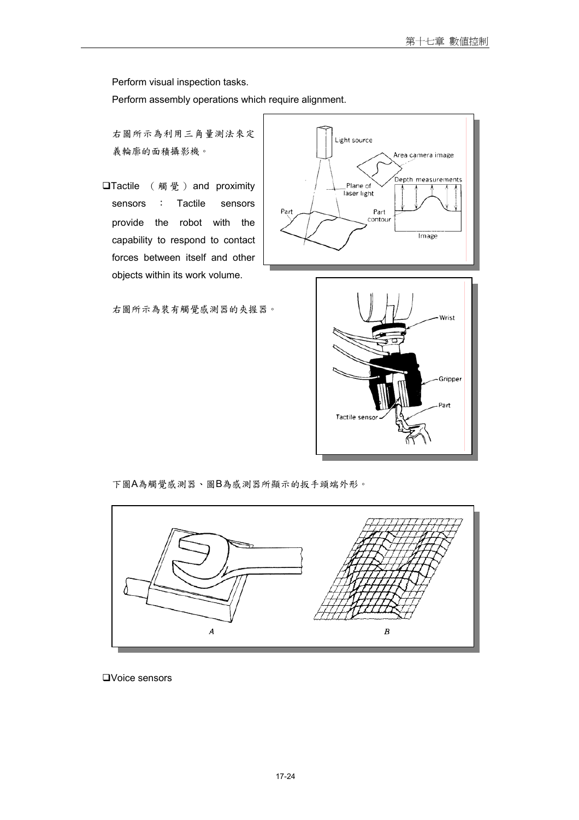Perform visual inspection tasks.

Perform assembly operations which require alignment.

右圖所示為利用三角量測法來定 義輪廓的面積攝影機。

**□Tactile** (觸覺) and proximity sensors : Tactile sensors provide the robot with the capability to respond to contact forces between itself and other objects within its work volume.



右圖所示為裝有觸覺感測器的夾握器。



下圖A為觸覺感測器、圖B為感測器所顯示的扳手頭端外形。



Voice sensors